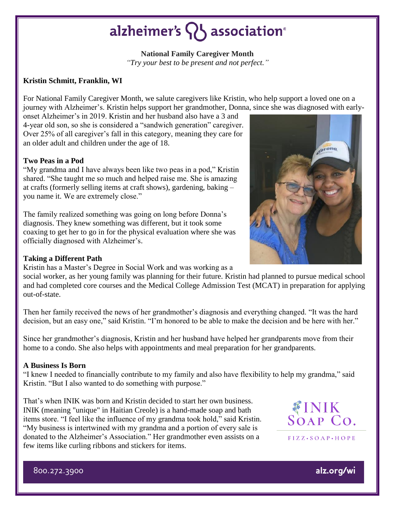## alzheimer's  $\{ \}$  association<sup>®</sup>

**National Family Caregiver Month** *"Try your best to be present and not perfect."*

### **Kristin Schmitt, Franklin, WI**

For National Family Caregiver Month, we salute caregivers like Kristin, who help support a loved one on a journey with Alzheimer's. Kristin helps support her grandmother, Donna, since she was diagnosed with early-

onset Alzheimer's in 2019. Kristin and her husband also have a 3 and 4-year old son, so she is considered a "sandwich generation" caregiver. Over 25% of all caregiver's fall in this category, meaning they care for an older adult and children under the age of 18.

#### **Two Peas in a Pod**

"My grandma and I have always been like two peas in a pod," Kristin shared. "She taught me so much and helped raise me. She is amazing at crafts (formerly selling items at craft shows), gardening, baking – you name it. We are extremely close."

The family realized something was going on long before Donna's diagnosis. They knew something was different, but it took some coaxing to get her to go in for the physical evaluation where she was officially diagnosed with Alzheimer's.

## **Taking a Different Path**

Kristin has a Master's Degree in Social Work and was working as a

social worker, as her young family was planning for their future. Kristin had planned to pursue medical school and had completed core courses and the Medical College Admission Test (MCAT) in preparation for applying out-of-state.

Then her family received the news of her grandmother's diagnosis and everything changed. "It was the hard decision, but an easy one," said Kristin. "I'm honored to be able to make the decision and be here with her."

Since her grandmother's diagnosis, Kristin and her husband have helped her grandparents move from their home to a condo. She also helps with appointments and meal preparation for her grandparents.

#### **A Business Is Born**

"I knew I needed to financially contribute to my family and also have flexibility to help my grandma," said Kristin. "But I also wanted to do something with purpose."

That's when INIK was born and Kristin decided to start her own business. INIK (meaning "unique" in Haitian Creole) is a hand-made soap and bath items store. "I feel like the influence of my grandma took hold," said Kristin. "My business is intertwined with my grandma and a portion of every sale is donated to the Alzheimer's Association." Her grandmother even assists on a few items like curling ribbons and stickers for items.



 $FIZZ \cdot SOAP \cdot HOPE$ 

alz.org/wi

porona

800.272.3900